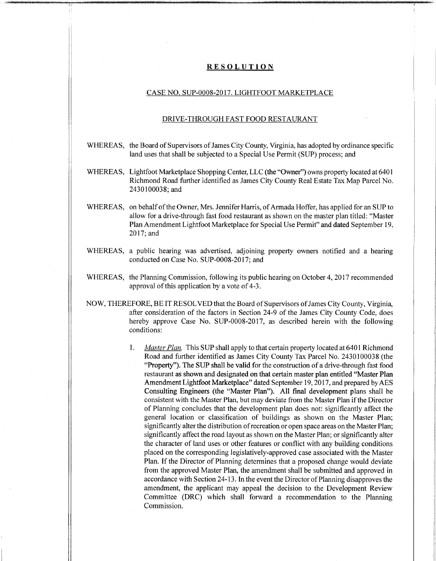## **RESOLUTION**

## CASE NO. SUP-0008-2017. LIGHTFOOT MARKETPLACE

## DRIVE-THROUGH FAST FOOD RESTAURANT

- WHEREAS, the Board of Supervisors of James City County, Virginia, has adopted by ordinance specific land uses that shall be subjected to a Special Use Permit (SUP) process; and
- WHEREAS, Lightfoot Marketplace Shopping Center, LLC (the "Owner") owns property located at 6401 Richmond Road further identified as James City County Real Estate Tax Map Parcel No. 2430100038;and
- WHEREAS, on behalf of the Owner, Mrs. Jennifer Harris, of Armada Hoffer, has applied for an SUP to allow for a drive-through fast food restaurant as shown on the master plan titled: "Master Plan Amendment Lightfoot Marketplace for Special Use Permit" and dated September 19, 2017; and
- WHEREAS, a public hearing was advertised, adjoining property owners notified and a hearing conducted on Case No. SUP-0008-2017; and
- WHEREAS, the Planning Commission, following its public hearing on October 4, 2017 recommended approval of this application by a vote of 4-3.
- NOW, THEREFORE, BE IT RESOLVED that the Board ofSupervisors ofJames City County, Virginia, after consideration of the factors in Section 24-9 of the James City County Code, does hereby approve Case No. SUP-0008-2017, as described herein with the following conditions:
	- *Master Plan.* This SUP shall apply to that certain property located at 6401 Richmond Road and further identified as James City County Tax Parcel No. 2430100038 (the "Property"). The SUP shall be valid for the construction of a drive-through fast food restaurant as shown and designated on that certain master plan entitled "Master Plan Amendment Lightfoot Marketplace" dated September 19, 2017, and prepared by AES Consulting Engineers (the "Master Plan"). All final development plans shall be consistent with the Master Plan, but may deviate from the Master Plan if the Director of Planning concludes that the development plan does not: significantly affect the general location or classification of buildings as shown on the Master Plan; significantly alter the distribution of recreation or open space areas on the Master Plan; significantly affect the road layout as shown on the Master Plan; or significantly alter the character of land uses or other features or conflict with any building conditions placed on the corresponding legislatively-approved case associated with the Master Plan. If the Director of Planning determines that a proposed change would deviate from the approved Master Plan, the amendment shall be submitted and approved in accordance with Section 24-13. In the event the Director of Planning disapproves the amendment, the applicant may appeal the decision to the Development Review Committee (DRC) which shall forward a recommendation to the Planning Commission. **1.**